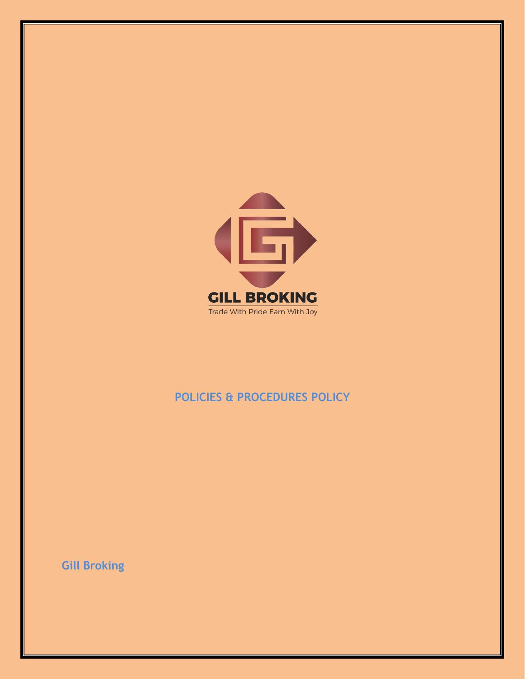

# **POLICIES & PROCEDURES POLICY**

**Gill Broking**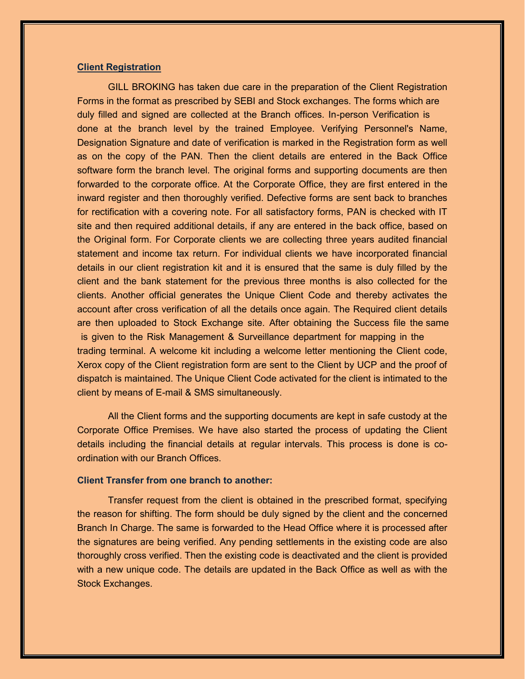#### **Client Registration**

GILL BROKING has taken due care in the preparation of the Client Registration Forms in the format as prescribed by SEBI and Stock exchanges. The forms which are duly filled and signed are collected at the Branch offices. In-person Verification is done at the branch level by the trained Employee. Verifying Personnel's Name, Designation Signature and date of verification is marked in the Registration form as well as on the copy of the PAN. Then the client details are entered in the Back Office software form the branch level. The original forms and supporting documents are then forwarded to the corporate office. At the Corporate Office, they are first entered in the inward register and then thoroughly verified. Defective forms are sent back to branches for rectification with a covering note. For all satisfactory forms, PAN is checked with IT site and then required additional details, if any are entered in the back office, based on the Original form. For Corporate clients we are collecting three years audited financial statement and income tax return. For individual clients we have incorporated financial details in our client registration kit and it is ensured that the same is duly filled by the client and the bank statement for the previous three months is also collected for the clients. Another official generates the Unique Client Code and thereby activates the account after cross verification of all the details once again. The Required client details are then uploaded to Stock Exchange site. After obtaining the Success file the same is given to the Risk Management & Surveillance department for mapping in the trading terminal. A welcome kit including a welcome letter mentioning the Client code, Xerox copy of the Client registration form are sent to the Client by UCP and the proof of dispatch is maintained. The Unique Client Code activated for the client is intimated to the client by means of E-mail & SMS simultaneously.

All the Client forms and the supporting documents are kept in safe custody at the Corporate Office Premises. We have also started the process of updating the Client details including the financial details at regular intervals. This process is done is coordination with our Branch Offices.

### **Client Transfer from one branch to another:**

Transfer request from the client is obtained in the prescribed format, specifying the reason for shifting. The form should be duly signed by the client and the concerned Branch In Charge. The same is forwarded to the Head Office where it is processed after the signatures are being verified. Any pending settlements in the existing code are also thoroughly cross verified. Then the existing code is deactivated and the client is provided with a new unique code. The details are updated in the Back Office as well as with the Stock Exchanges.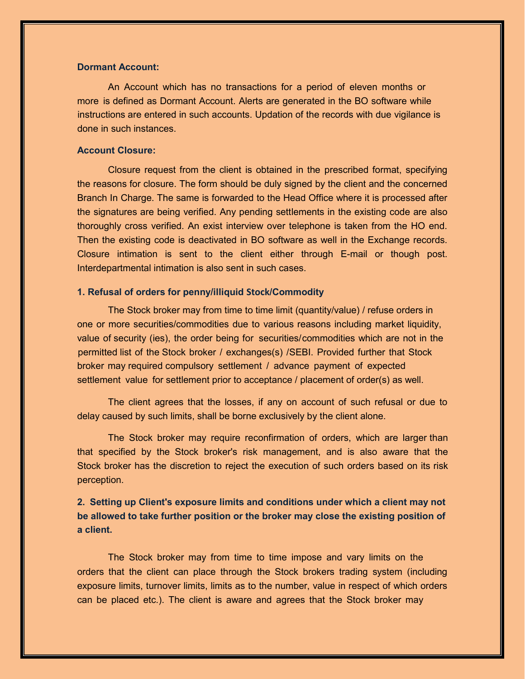### **Dormant Account:**

An Account which has no transactions for a period of eleven months or more is defined as Dormant Account. Alerts are generated in the BO software while instructions are entered in such accounts. Updation of the records with due vigilance is done in such instances.

### **Account Closure:**

Closure request from the client is obtained in the prescribed format, specifying the reasons for closure. The form should be duly signed by the client and the concerned Branch In Charge. The same is forwarded to the Head Office where it is processed after the signatures are being verified. Any pending settlements in the existing code are also thoroughly cross verified. An exist interview over telephone is taken from the HO end. Then the existing code is deactivated in BO software as well in the Exchange records. Closure intimation is sent to the client either through E-mail or though post. Interdepartmental intimation is also sent in such cases.

### **1. Refusal of orders for penny/illiquid Stock**/**Commodity**

The Stock broker may from time to time limit (quantity/value) / refuse orders in one or more securities/commodities due to various reasons including market liquidity, value of security (ies), the order being for securities/commodities which are not in the permitted list of the Stock broker / exchanges(s) /SEBI. Provided further that Stock broker may required compulsory settlement / advance payment of expected settlement value for settlement prior to acceptance / placement of order(s) as well.

The client agrees that the losses, if any on account of such refusal or due to delay caused by such limits, shall be borne exclusively by the client alone.

The Stock broker may require reconfirmation of orders, which are larger than that specified by the Stock broker's risk management, and is also aware that the Stock broker has the discretion to reject the execution of such orders based on its risk perception.

# **2. Setting up Client's exposure limits and conditions under which a client may not be allowed to take further position or the broker may close the existing position of a client.**

The Stock broker may from time to time impose and vary limits on the orders that the client can place through the Stock brokers trading system (including exposure limits, turnover limits, limits as to the number, value in respect of which orders can be placed etc.). The client is aware and agrees that the Stock broker may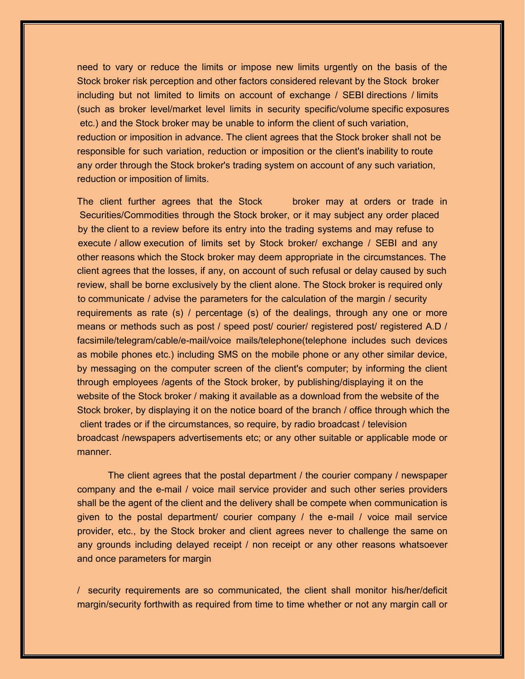need to vary or reduce the limits or impose new limits urgently on the basis of the Stock broker risk perception and other factors considered relevant by the Stock broker including but not limited to limits on account of exchange / SEBI directions / limits (such as broker level/market level limits in security specific/volume specific exposures etc.) and the Stock broker may be unable to inform the client of such variation, reduction or imposition in advance. The client agrees that the Stock broker shall not be responsible for such variation, reduction or imposition or the client's inability to route any order through the Stock broker's trading system on account of any such variation, reduction or imposition of limits.

The client further agrees that the Stock broker may at orders or trade in Securities/Commodities through the Stock broker, or it may subject any order placed by the client to a review before its entry into the trading systems and may refuse to execute / allow execution of limits set by Stock broker/ exchange / SEBI and any other reasons which the Stock broker may deem appropriate in the circumstances. The client agrees that the losses, if any, on account of such refusal or delay caused by such review, shall be borne exclusively by the client alone. The Stock broker is required only to communicate / advise the parameters for the calculation of the margin / security requirements as rate (s) / percentage (s) of the dealings, through any one or more means or methods such as post / speed post/ courier/ registered post/ registered A.D / facsimile/telegram/cable/e-mail/voice mails/telephone(telephone includes such devices as mobile phones etc.) including SMS on the mobile phone or any other similar device, by messaging on the computer screen of the client's computer; by informing the client through employees /agents of the Stock broker, by publishing/displaying it on the website of the Stock broker / making it available as a download from the website of the Stock broker, by displaying it on the notice board of the branch / office through which the client trades or if the circumstances, so require, by radio broadcast / television broadcast /newspapers advertisements etc; or any other suitable or applicable mode or manner.

The client agrees that the postal department / the courier company / newspaper company and the e-mail / voice mail service provider and such other series providers shall be the agent of the client and the delivery shall be compete when communication is given to the postal department/ courier company / the e-mail / voice mail service provider, etc., by the Stock broker and client agrees never to challenge the same on any grounds including delayed receipt / non receipt or any other reasons whatsoever and once parameters for margin

/ security requirements are so communicated, the client shall monitor his/her/deficit margin/security forthwith as required from time to time whether or not any margin call or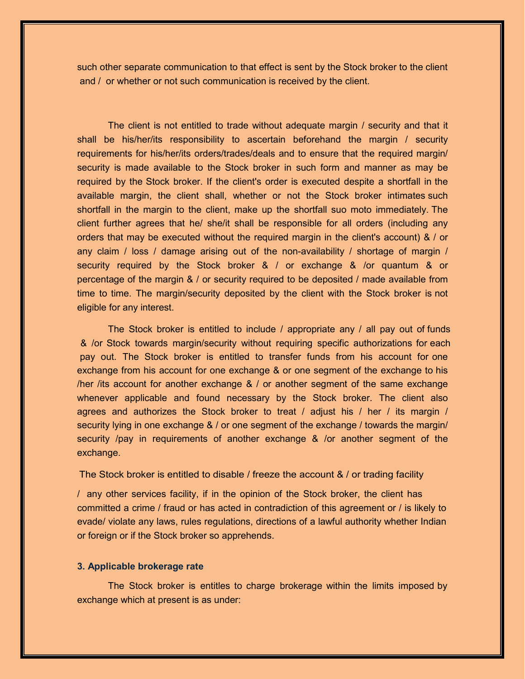such other separate communication to that effect is sent by the Stock broker to the client and / or whether or not such communication is received by the client.

The client is not entitled to trade without adequate margin / security and that it shall be his/her/its responsibility to ascertain beforehand the margin / security requirements for his/her/its orders/trades/deals and to ensure that the required margin/ security is made available to the Stock broker in such form and manner as may be required by the Stock broker. If the client's order is executed despite a shortfall in the available margin, the client shall, whether or not the Stock broker intimates such shortfall in the margin to the client, make up the shortfall suo moto immediately. The client further agrees that he/ she/it shall be responsible for all orders (including any orders that may be executed without the required margin in the client's account) & / or any claim / loss / damage arising out of the non-availability / shortage of margin / security required by the Stock broker & / or exchange & /or quantum & or percentage of the margin & / or security required to be deposited / made available from time to time. The margin/security deposited by the client with the Stock broker is not eligible for any interest.

The Stock broker is entitled to include / appropriate any / all pay out of funds & /or Stock towards margin/security without requiring specific authorizations for each pay out. The Stock broker is entitled to transfer funds from his account for one exchange from his account for one exchange & or one segment of the exchange to his /her /its account for another exchange & / or another segment of the same exchange whenever applicable and found necessary by the Stock broker. The client also agrees and authorizes the Stock broker to treat  $\ell$  adjust his  $\ell$  her  $\ell$  its margin  $\ell$ security lying in one exchange & / or one segment of the exchange / towards the margin/ security /pay in requirements of another exchange & /or another segment of the exchange.

The Stock broker is entitled to disable / freeze the account & / or trading facility

/ any other services facility, if in the opinion of the Stock broker, the client has committed a crime / fraud or has acted in contradiction of this agreement or / is likely to evade/ violate any laws, rules regulations, directions of a lawful authority whether Indian or foreign or if the Stock broker so apprehends.

### **3. Applicable brokerage rate**

The Stock broker is entitles to charge brokerage within the limits imposed by exchange which at present is as under: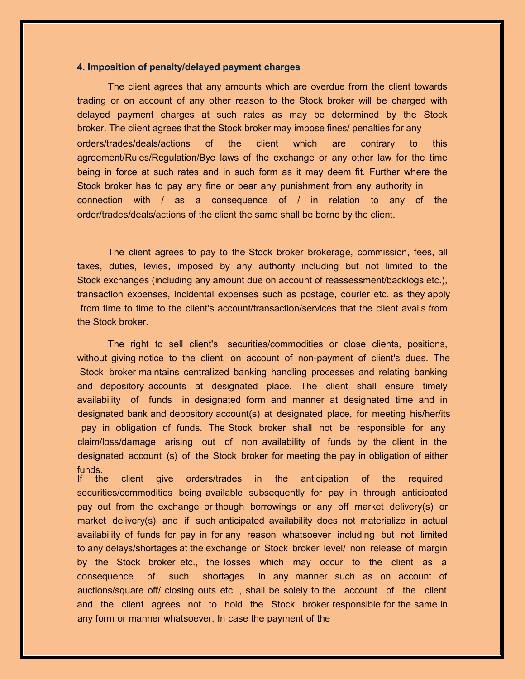### **4. Imposition of penalty/delayed payment charges**

The client agrees that any amounts which are overdue from the client towards trading or on account of any other reason to the Stock broker will be charged with delayed payment charges at such rates as may be determined by the Stock broker. The client agrees that the Stock broker may impose fines/ penalties for any orders/trades/deals/actions of the client which are contrary to this agreement/Rules/Regulation/Bye laws of the exchange or any other law for the time being in force at such rates and in such form as it may deem fit. Further where the Stock broker has to pay any fine or bear any punishment from any authority in connection with / as a consequence of / in relation to any of the order/trades/deals/actions of the client the same shall be borne by the client.

The client agrees to pay to the Stock broker brokerage, commission, fees, all taxes, duties, levies, imposed by any authority including but not limited to the Stock exchanges (including any amount due on account of reassessment/backlogs etc.), transaction expenses, incidental expenses such as postage, courier etc. as they apply from time to time to the client's account/transaction/services that the client avails from the Stock broker.

The right to sell client's securities/commodities or close clients, positions, without giving notice to the client, on account of non-payment of client's dues. The Stock broker maintains centralized banking handling processes and relating banking and depository accounts at designated place. The client shall ensure timely availability of funds in designated form and manner at designated time and in designated bank and depository account(s) at designated place, for meeting his/her/its pay in obligation of funds. The Stock broker shall not be responsible for any claim/loss/damage arising out of non availability of funds by the client in the designated account (s) of the Stock broker for meeting the pay in obligation of either funds.<br>If the

client give orders/trades in the anticipation of the required securities/commodities being available subsequently for pay in through anticipated pay out from the exchange or though borrowings or any off market delivery(s) or market delivery(s) and if such anticipated availability does not materialize in actual availability of funds for pay in for any reason whatsoever including but not limited to any delays/shortages at the exchange or Stock broker level/ non release of margin by the Stock broker etc., the losses which may occur to the client as a consequence of such shortages in any manner such as on account of auctions/square off/ closing outs etc. , shall be solely to the account of the client and the client agrees not to hold the Stock broker responsible for the same in any form or manner whatsoever. In case the payment of the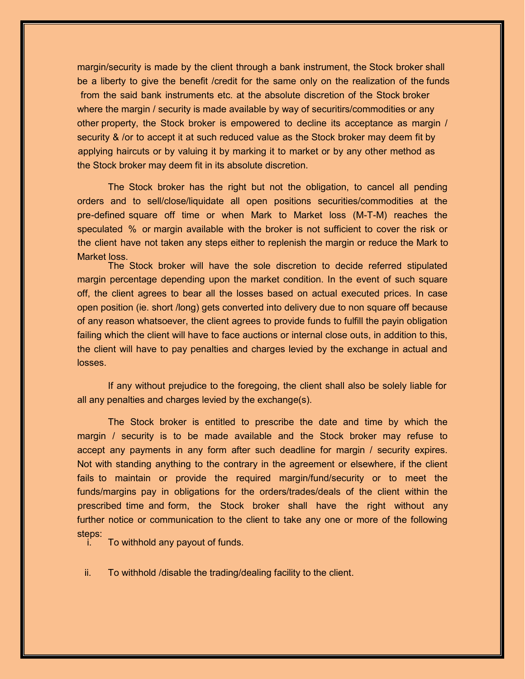margin/security is made by the client through a bank instrument, the Stock broker shall be a liberty to give the benefit /credit for the same only on the realization of the funds from the said bank instruments etc. at the absolute discretion of the Stock broker where the margin / security is made available by way of securitirs/commodities or any other property, the Stock broker is empowered to decline its acceptance as margin / security & /or to accept it at such reduced value as the Stock broker may deem fit by applying haircuts or by valuing it by marking it to market or by any other method as the Stock broker may deem fit in its absolute discretion.

The Stock broker has the right but not the obligation, to cancel all pending orders and to sell/close/liquidate all open positions securities/commodities at the pre-defined square off time or when Mark to Market loss (M-T-M) reaches the speculated % or margin available with the broker is not sufficient to cover the risk or the client have not taken any steps either to replenish the margin or reduce the Mark to Market loss.

The Stock broker will have the sole discretion to decide referred stipulated margin percentage depending upon the market condition. In the event of such square off, the client agrees to bear all the losses based on actual executed prices. In case open position (ie. short /long) gets converted into delivery due to non square off because of any reason whatsoever, the client agrees to provide funds to fulfill the payin obligation failing which the client will have to face auctions or internal close outs, in addition to this, the client will have to pay penalties and charges levied by the exchange in actual and losses.

If any without prejudice to the foregoing, the client shall also be solely liable for all any penalties and charges levied by the exchange(s).

The Stock broker is entitled to prescribe the date and time by which the margin / security is to be made available and the Stock broker may refuse to accept any payments in any form after such deadline for margin / security expires. Not with standing anything to the contrary in the agreement or elsewhere, if the client fails to maintain or provide the required margin/fund/security or to meet the funds/margins pay in obligations for the orders/trades/deals of the client within the prescribed time and form, the Stock broker shall have the right without any further notice or communication to the client to take any one or more of the following steps:

To withhold any payout of funds.

ii. To withhold /disable the trading/dealing facility to the client.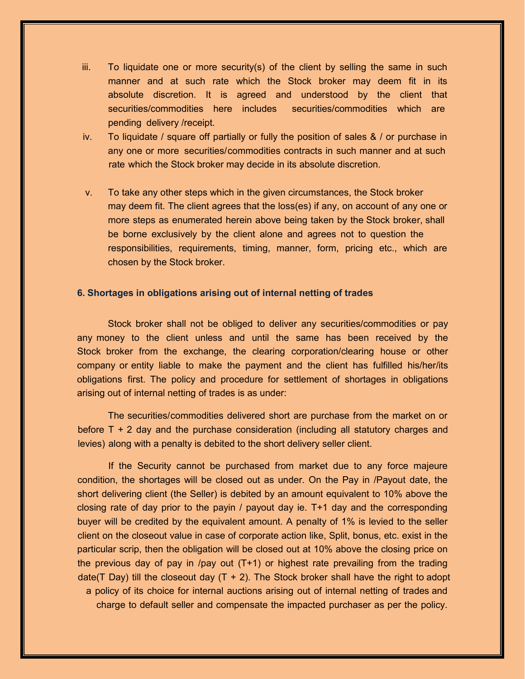- $iii.$  To liquidate one or more security(s) of the client by selling the same in such manner and at such rate which the Stock broker may deem fit in its absolute discretion. It is agreed and understood by the client that securities/commodities here includes securities/commodities which are pending delivery /receipt.
- iv. To liquidate / square off partially or fully the position of sales & / or purchase in any one or more securities/commodities contracts in such manner and at such rate which the Stock broker may decide in its absolute discretion.
- v. To take any other steps which in the given circumstances, the Stock broker may deem fit. The client agrees that the loss(es) if any, on account of any one or more steps as enumerated herein above being taken by the Stock broker, shall be borne exclusively by the client alone and agrees not to question the responsibilities, requirements, timing, manner, form, pricing etc., which are chosen by the Stock broker.

### **6. Shortages in obligations arising out of internal netting of trades**

Stock broker shall not be obliged to deliver any securities/commodities or pay any money to the client unless and until the same has been received by the Stock broker from the exchange, the clearing corporation/clearing house or other company or entity liable to make the payment and the client has fulfilled his/her/its obligations first. The policy and procedure for settlement of shortages in obligations arising out of internal netting of trades is as under:

The securities/commodities delivered short are purchase from the market on or before  $T + 2$  day and the purchase consideration (including all statutory charges and levies) along with a penalty is debited to the short delivery seller client.

If the Security cannot be purchased from market due to any force majeure condition, the shortages will be closed out as under. On the Pay in /Payout date, the short delivering client (the Seller) is debited by an amount equivalent to 10% above the closing rate of day prior to the payin / payout day ie. T+1 day and the corresponding buyer will be credited by the equivalent amount. A penalty of 1% is levied to the seller client on the closeout value in case of corporate action like, Split, bonus, etc. exist in the particular scrip, then the obligation will be closed out at 10% above the closing price on the previous day of pay in /pay out (T+1) or highest rate prevailing from the trading date(T Day) till the closeout day  $(T + 2)$ . The Stock broker shall have the right to adopt a policy of its choice for internal auctions arising out of internal netting of trades and charge to default seller and compensate the impacted purchaser as per the policy.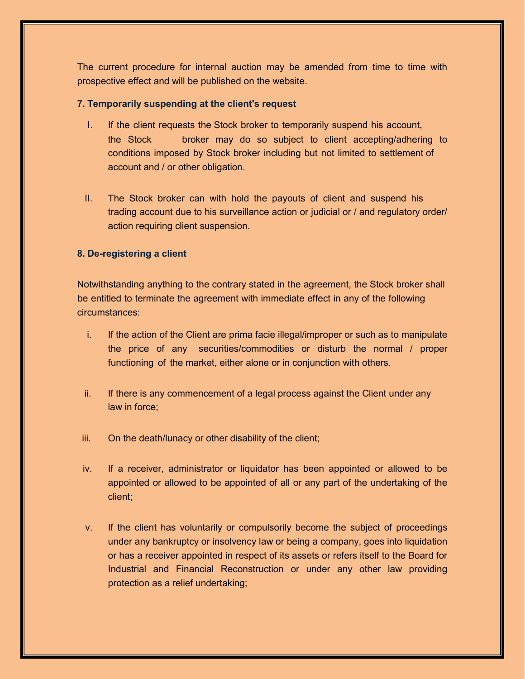The current procedure for internal auction may be amended from time to time with prospective effect and will be published on the website.

### **7. Temporarily suspending at the client's request**

- I. If the client requests the Stock broker to temporarily suspend his account, the Stock broker may do so subject to client accepting/adhering to conditions imposed by Stock broker including but not limited to settlement of account and / or other obligation.
- II. The Stock broker can with hold the payouts of client and suspend his trading account due to his surveillance action or judicial or / and regulatory order/ action requiring client suspension.

## **8. De-registering a client**

Notwithstanding anything to the contrary stated in the agreement, the Stock broker shall be entitled to terminate the agreement with immediate effect in any of the following circumstances:

- i. If the action of the Client are prima facie illegal/improper or such as to manipulate the price of any securities/commodities or disturb the normal / proper functioning of the market, either alone or in conjunction with others.
- ii. If there is any commencement of a legal process against the Client under any law in force;
- iii. On the death/lunacy or other disability of the client;
- iv. If a receiver, administrator or liquidator has been appointed or allowed to be appointed or allowed to be appointed of all or any part of the undertaking of the client;
- v. If the client has voluntarily or compulsorily become the subject of proceedings under any bankruptcy or insolvency law or being a company, goes into liquidation or has a receiver appointed in respect of its assets or refers itself to the Board for Industrial and Financial Reconstruction or under any other law providing protection as a relief undertaking;